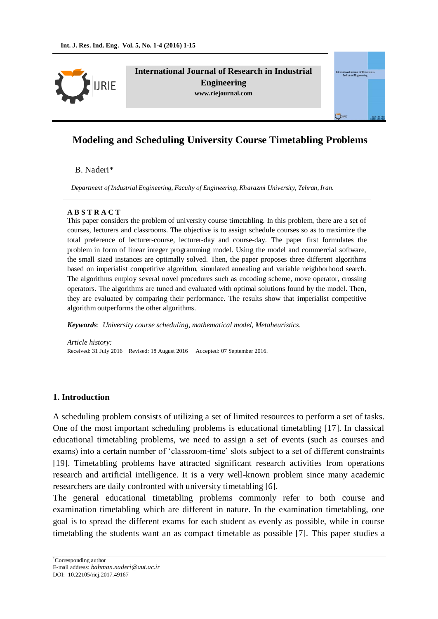

**International Journal of Research in Industrial Engineering www.riejournal.com**

# **Modeling and Scheduling University Course Timetabling Problems**

#### B. Naderi\*

*Department of Industrial Engineering, Faculty of Engineering, Kharazmi University, Tehran, Iran.*

#### **A B S T R A C T**

This paper considers the problem of university course timetabling. In this problem, there are a set of courses, lecturers and classrooms. The objective is to assign schedule courses so as to maximize the total preference of lecturer-course, lecturer-day and course-day. The paper first formulates the problem in form of linear integer programming model. Using the model and commercial software, the small sized instances are optimally solved. Then, the paper proposes three different algorithms based on imperialist competitive algorithm, simulated annealing and variable neighborhood search. The algorithms employ several novel procedures such as encoding scheme, move operator, crossing operators. The algorithms are tuned and evaluated with optimal solutions found by the model. Then, they are evaluated by comparing their performance. The results show that imperialist competitive algorithm outperforms the other algorithms.

*Keywords*: *University course scheduling, mathematical model, Metaheuristics.*

*Article history:* Received: 31 July 2016 Revised: 18 August 2016 Accepted: 07 September 2016.

#### **1. Introduction**

A scheduling problem consists of utilizing a set of limited resources to perform a set of tasks. One of the most important scheduling problems is educational timetabling [17]. In classical educational timetabling problems, we need to assign a set of events (such as courses and exams) into a certain number of 'classroom-time' slots subject to a set of different constraints [19]. Timetabling problems have attracted significant research activities from operations research and artificial intelligence. It is a very well-known problem since many academic researchers are daily confronted with university timetabling [6].

The general educational timetabling problems commonly refer to both course and examination timetabling which are different in nature. In the examination timetabling, one goal is to spread the different exams for each student as evenly as possible, while in course timetabling the students want an as compact timetable as possible [7]. This paper studies a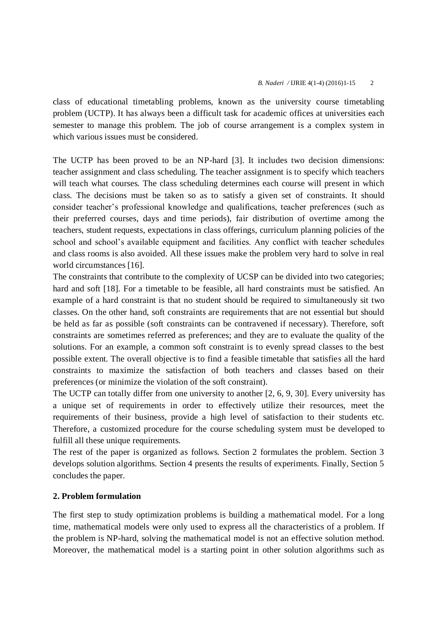class of educational timetabling problems, known as the university course timetabling problem (UCTP). It has always been a difficult task for academic offices at universities each semester to manage this problem. The job of course arrangement is a complex system in which various issues must be considered.

The UCTP has been proved to be an NP-hard [3]. It includes two decision dimensions: teacher assignment and class scheduling. The teacher assignment is to specify which teachers will teach what courses. The class scheduling determines each course will present in which class. The decisions must be taken so as to satisfy a given set of constraints. It should consider teacher's professional knowledge and qualifications, teacher preferences (such as their preferred courses, days and time periods), fair distribution of overtime among the teachers, student requests, expectations in class offerings, curriculum planning policies of the school and school's available equipment and facilities. Any conflict with teacher schedules and class rooms is also avoided. All these issues make the problem very hard to solve in real world circumstances [16].

The constraints that contribute to the complexity of UCSP can be divided into two categories; hard and soft [18]. For a timetable to be feasible, all hard constraints must be satisfied. An example of a hard constraint is that no student should be required to simultaneously sit two classes. On the other hand, soft constraints are requirements that are not essential but should be held as far as possible (soft constraints can be contravened if necessary). Therefore, soft constraints are sometimes referred as preferences; and they are to evaluate the quality of the solutions. For an example, a common soft constraint is to evenly spread classes to the best possible extent. The overall objective is to find a feasible timetable that satisfies all the hard constraints to maximize the satisfaction of both teachers and classes based on their preferences (or minimize the violation of the soft constraint).

The UCTP can totally differ from one university to another [2, 6, 9, 30]. Every university has a unique set of requirements in order to effectively utilize their resources, meet the requirements of their business, provide a high level of satisfaction to their students etc. Therefore, a customized procedure for the course scheduling system must be developed to fulfill all these unique requirements.

The rest of the paper is organized as follows. Section 2 formulates the problem. Section 3 develops solution algorithms. Section 4 presents the results of experiments. Finally, Section 5 concludes the paper.

# **2. Problem formulation**

The first step to study optimization problems is building a mathematical model. For a long time, mathematical models were only used to express all the characteristics of a problem. If the problem is NP-hard, solving the mathematical model is not an effective solution method. Moreover, the mathematical model is a starting point in other solution algorithms such as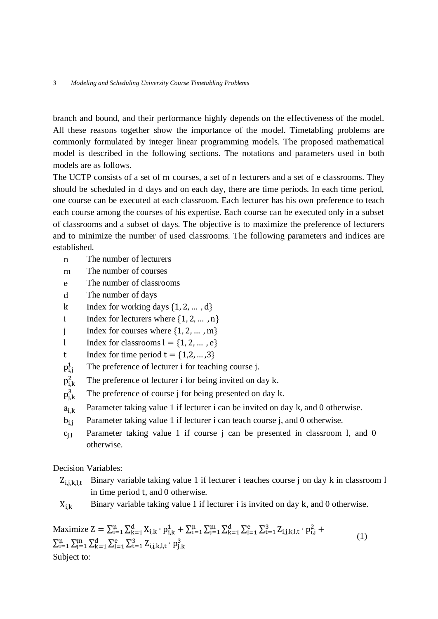branch and bound, and their performance highly depends on the effectiveness of the model. All these reasons together show the importance of the model. Timetabling problems are commonly formulated by integer linear programming models. The proposed mathematical model is described in the following sections. The notations and parameters used in both models are as follows.

The UCTP consists of a set of m courses, a set of n lecturers and a set of e classrooms. They should be scheduled in d days and on each day, there are time periods. In each time period, one course can be executed at each classroom. Each lecturer has his own preference to teach each course among the courses of his expertise. Each course can be executed only in a subset of classrooms and a subset of days. The objective is to maximize the preference of lecturers and to minimize the number of used classrooms. The following parameters and indices are established.

- n The number of lecturers
- m The number of courses
- e The number of classrooms
- d The number of days
- k Index for working days  $\{1, 2, \ldots, d\}$
- i Index for lecturers where  $\{1, 2, ..., n\}$
- j Index for courses where  $\{1, 2, \dots, m\}$
- l Index for classrooms  $l = \{1, 2, \dots, e\}$
- t Index for time period  $t = \{1,2,...,3\}$
- $p_{i,i}^1$ The preference of lecturer i for teaching course j.
- $p_{i,k}^2$ The preference of lecturer i for being invited on day k.
- $p_{i,k}^3$ The preference of course j for being presented on day k.
- $a_{i,k}$  Parameter taking value 1 if lecturer i can be invited on day k, and 0 otherwise.
- $b_{i,j}$  Parameter taking value 1 if lecturer i can teach course j, and 0 otherwise.
- $c_{i,l}$  Parameter taking value 1 if course j can be presented in classroom l, and 0 otherwise.

Decision Variables:

- $Z_{i,j,k,l,t}$  Binary variable taking value 1 if lecturer i teaches course j on day k in classroom l in time period t, and 0 otherwise.
- $X_{i,k}$  Binary variable taking value 1 if lecturer i is invited on day k, and 0 otherwise.

Maximize  $Z = \sum_{i=1}^{n} \sum_{k=1}^{d} X_{i,k} \cdot p_{i,k}^1 + \sum_{i=1}^{n} \sum_{j=1}^{m} \sum_{k=1}^{d} \sum_{l=1}^{e} \sum_{t=1}^{3} Z_{i,j,k,l,t} \cdot p_{i,j}^2 +$  $\sum_{i=1}^{n} \sum_{j=1}^{m} \sum_{k=1}^{d} \sum_{l=1}^{e} \sum_{t=1}^{3} Z_{i,j,k,l,t} \cdot p_{j,k,l}^{3}$ (1) Subject to: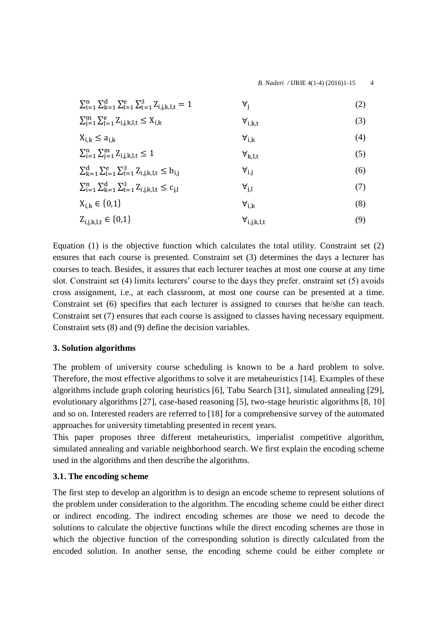| $\sum_{i=1}^{n} \sum_{k=1}^{d} \sum_{l=1}^{e} \sum_{t=1}^{3} Z_{i,j,k,l,t} = 1$ | A'                    | (2) |
|---------------------------------------------------------------------------------|-----------------------|-----|
| $\sum_{i=1}^{m} \sum_{l=1}^{e} Z_{i,j,k,l,t} \leq X_{i,k}$                      | $\forall_{i,k,t}$     | (3) |
| $X_{i,k} \leq a_{i,k}$                                                          | $\forall_{i,k}$       | (4) |
| $\sum_{i=1}^{n} \sum_{i=1}^{m} Z_{i,j,k,l,t} \leq 1$                            | $\forall_{k,l,t}$     | (5) |
| $\sum_{k=1}^{d} \sum_{l=1}^{e} \sum_{t=1}^{3} Z_{i,j,k,l,t} \leq b_{i,j}$       | $\forall_{i,i}$       | (6) |
| $\sum_{i=1}^{n} \sum_{k=1}^{d} \sum_{t=1}^{3} Z_{i,i,k,l,t} \leq c_{i,l}$       | $\forall_{i,l}$       | (7) |
| $X_{i,k} \in \{0,1\}$                                                           | $\forall_{i,k}$       | (8) |
| $Z_{i,j,k,l,t} \in \{0,1\}$                                                     | $\forall_{i,j,k,l,t}$ | (9) |

Equation (1) is the objective function which calculates the total utility. Constraint set (2) ensures that each course is presented. Constraint set (3) determines the days a lecturer has courses to teach. Besides, it assures that each lecturer teaches at most one course at any time slot. Constraint set (4) limits lecturers' course to the days they prefer. onstraint set (5) avoids cross assignment, i.e., at each classroom, at most one course can be presented at a time. Constraint set (6) specifies that each lecturer is assigned to courses that he/she can teach. Constraint set (7) ensures that each course is assigned to classes having necessary equipment. Constraint sets (8) and (9) define the decision variables.

### **3. Solution algorithms**

The problem of university course scheduling is known to be a hard problem to solve. Therefore, the most effective algorithms to solve it are metaheuristics [14]. Examples of these algorithms include graph coloring heuristics [6], Tabu Search [31], simulated annealing [29], evolutionary algorithms [27], case-based reasoning [5], two-stage heuristic algorithms [8, 10] and so on. Interested readers are referred to [18] for a comprehensive survey of the automated approaches for university timetabling presented in recent years.

This paper proposes three different metaheuristics, imperialist competitive algorithm, simulated annealing and variable neighborhood search. We first explain the encoding scheme used in the algorithms and then describe the algorithms.

# **3.1. The encoding scheme**

The first step to develop an algorithm is to design an encode scheme to represent solutions of the problem under consideration to the algorithm. The encoding scheme could be either direct or indirect encoding. The indirect encoding schemes are those we need to decode the solutions to calculate the objective functions while the direct encoding schemes are those in which the objective function of the corresponding solution is directly calculated from the encoded solution. In another sense, the encoding scheme could be either complete or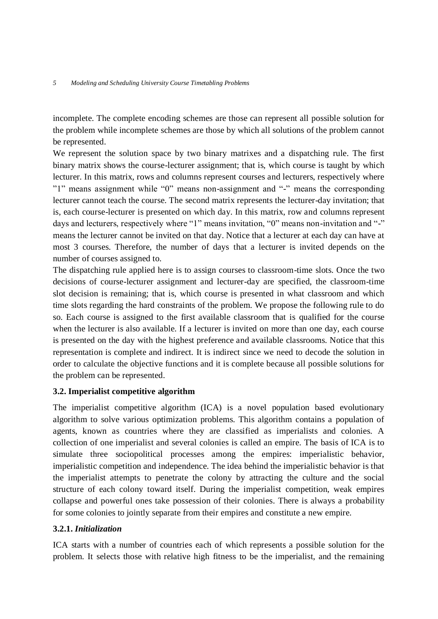incomplete. The complete encoding schemes are those can represent all possible solution for the problem while incomplete schemes are those by which all solutions of the problem cannot be represented.

We represent the solution space by two binary matrixes and a dispatching rule. The first binary matrix shows the course-lecturer assignment; that is, which course is taught by which lecturer. In this matrix, rows and columns represent courses and lecturers, respectively where "1" means assignment while "0" means non-assignment and "-" means the corresponding lecturer cannot teach the course. The second matrix represents the lecturer-day invitation; that is, each course-lecturer is presented on which day. In this matrix, row and columns represent days and lecturers, respectively where "1" means invitation, "0" means non-invitation and "-" means the lecturer cannot be invited on that day. Notice that a lecturer at each day can have at most 3 courses. Therefore, the number of days that a lecturer is invited depends on the number of courses assigned to.

The dispatching rule applied here is to assign courses to classroom-time slots. Once the two decisions of course-lecturer assignment and lecturer-day are specified, the classroom-time slot decision is remaining; that is, which course is presented in what classroom and which time slots regarding the hard constraints of the problem. We propose the following rule to do so. Each course is assigned to the first available classroom that is qualified for the course when the lecturer is also available. If a lecturer is invited on more than one day, each course is presented on the day with the highest preference and available classrooms. Notice that this representation is complete and indirect. It is indirect since we need to decode the solution in order to calculate the objective functions and it is complete because all possible solutions for the problem can be represented.

# **3.2. Imperialist competitive algorithm**

The imperialist competitive algorithm (ICA) is a novel population based evolutionary algorithm to solve various optimization problems. This algorithm contains a population of agents, known as countries where they are classified as imperialists and colonies. A collection of one imperialist and several colonies is called an empire. The basis of ICA is to simulate three sociopolitical processes among the empires: imperialistic behavior, imperialistic competition and independence. The idea behind the imperialistic behavior is that the imperialist attempts to penetrate the colony by attracting the culture and the social structure of each colony toward itself. During the imperialist competition, weak empires collapse and powerful ones take possession of their colonies. There is always a probability for some colonies to jointly separate from their empires and constitute a new empire.

### **3.2.1.** *Initialization*

ICA starts with a number of countries each of which represents a possible solution for the problem. It selects those with relative high fitness to be the imperialist, and the remaining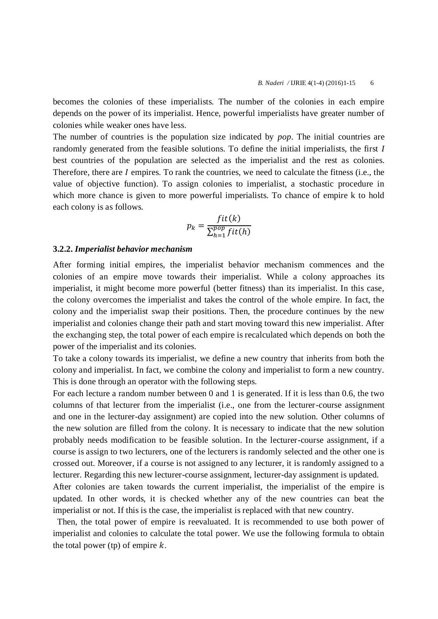becomes the colonies of these imperialists. The number of the colonies in each empire depends on the power of its imperialist. Hence, powerful imperialists have greater number of colonies while weaker ones have less.

The number of countries is the population size indicated by *pop*. The initial countries are randomly generated from the feasible solutions. To define the initial imperialists, the first *I* best countries of the population are selected as the imperialist and the rest as colonies. Therefore, there are  $I$  empires. To rank the countries, we need to calculate the fitness (i.e., the value of objective function). To assign colonies to imperialist, a stochastic procedure in which more chance is given to more powerful imperialists. To chance of empire k to hold each colony is as follows.

$$
p_k = \frac{fit(k)}{\sum_{h=1}^{pop}fit(h)}
$$

#### **3.2.2.** *Imperialist behavior mechanism*

After forming initial empires, the imperialist behavior mechanism commences and the colonies of an empire move towards their imperialist. While a colony approaches its imperialist, it might become more powerful (better fitness) than its imperialist. In this case, the colony overcomes the imperialist and takes the control of the whole empire. In fact, the colony and the imperialist swap their positions. Then, the procedure continues by the new imperialist and colonies change their path and start moving toward this new imperialist. After the exchanging step, the total power of each empire is recalculated which depends on both the power of the imperialist and its colonies.

To take a colony towards its imperialist, we define a new country that inherits from both the colony and imperialist. In fact, we combine the colony and imperialist to form a new country. This is done through an operator with the following steps.

For each lecture a random number between 0 and 1 is generated. If it is less than 0.6, the two columns of that lecturer from the imperialist (i.e., one from the lecturer-course assignment and one in the lecturer-day assignment) are copied into the new solution. Other columns of the new solution are filled from the colony. It is necessary to indicate that the new solution probably needs modification to be feasible solution. In the lecturer-course assignment, if a course is assign to two lecturers, one of the lecturers is randomly selected and the other one is crossed out. Moreover, if a course is not assigned to any lecturer, it is randomly assigned to a lecturer. Regarding this new lecturer-course assignment, lecturer-day assignment is updated.

After colonies are taken towards the current imperialist, the imperialist of the empire is updated. In other words, it is checked whether any of the new countries can beat the imperialist or not. If this is the case, the imperialist is replaced with that new country.

 Then, the total power of empire is reevaluated. It is recommended to use both power of imperialist and colonies to calculate the total power. We use the following formula to obtain the total power (tp) of empire  $k$ .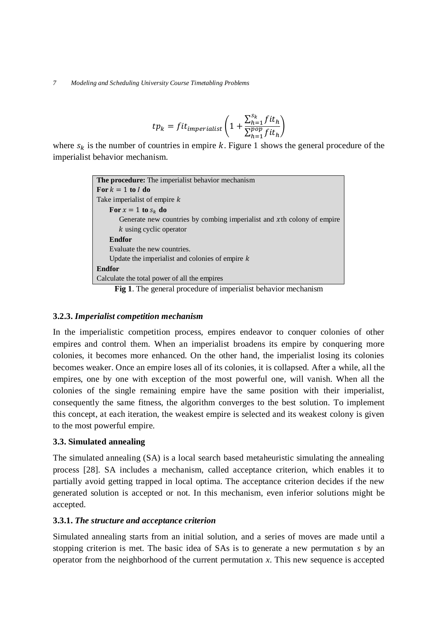$$
tp_k = fit_{imperialist} \left( 1 + \frac{\sum_{h=1}^{S_k} fit_h}{\sum_{h=1}^{pop} fit_h} \right)
$$

where  $s_k$  is the number of countries in empire k. Figure 1 shows the general procedure of the imperialist behavior mechanism.

| The procedure: The imperialist behavior mechanism                                                        |
|----------------------------------------------------------------------------------------------------------|
| For $k = 1$ to I do                                                                                      |
| Take imperialist of empire k                                                                             |
| For $x = 1$ to $s_k$ do                                                                                  |
| Generate new countries by combing imperialist and xth colony of empire                                   |
| k using cyclic operator                                                                                  |
| <b>Endfor</b>                                                                                            |
| Evaluate the new countries.                                                                              |
| Update the imperialist and colonies of empire $k$                                                        |
| <b>Endfor</b>                                                                                            |
| Calculate the total power of all the empires                                                             |
| $\mathbf{r}$ , and the contract of $\mathbf{r}$ , and $\mathbf{r}$ , and $\mathbf{r}$ , and $\mathbf{r}$ |

**Fig 1**. The general procedure of imperialist behavior mechanism

# **3.2.3.** *Imperialist competition mechanism*

In the imperialistic competition process, empires endeavor to conquer colonies of other empires and control them. When an imperialist broadens its empire by conquering more colonies, it becomes more enhanced. On the other hand, the imperialist losing its colonies becomes weaker. Once an empire loses all of its colonies, it is collapsed. After a while, all the empires, one by one with exception of the most powerful one, will vanish. When all the colonies of the single remaining empire have the same position with their imperialist, consequently the same fitness, the algorithm converges to the best solution. To implement this concept, at each iteration, the weakest empire is selected and its weakest colony is given to the most powerful empire.

# **3.3. Simulated annealing**

The simulated annealing (SA) is a local search based metaheuristic simulating the annealing process [28]. SA includes a mechanism, called acceptance criterion, which enables it to partially avoid getting trapped in local optima. The acceptance criterion decides if the new generated solution is accepted or not. In this mechanism, even inferior solutions might be accepted.

# **3.3.1.** *The structure and acceptance criterion*

Simulated annealing starts from an initial solution, and a series of moves are made until a stopping criterion is met. The basic idea of SAs is to generate a new permutation *s* by an operator from the neighborhood of the current permutation *x*. This new sequence is accepted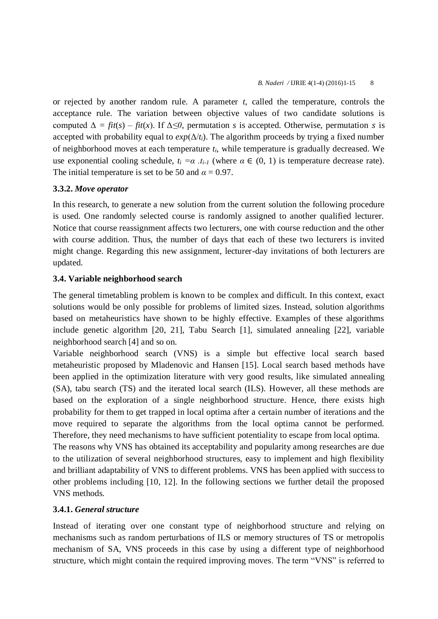or rejected by another random rule. A parameter *t*, called the temperature, controls the acceptance rule. The variation between objective values of two candidate solutions is computed  $\Delta = \frac{fit(s)}{fit(x)}$ . If  $\Delta \leq 0$ , permutation *s* is accepted. Otherwise, permutation *s* is accepted with probability equal to  $exp(\Delta/t_i)$ . The algorithm proceeds by trying a fixed number of neighborhood moves at each temperature *ti*, while temperature is gradually decreased. We use exponential cooling schedule,  $t_i = \alpha$ ,  $t_{i-1}$  (where  $\alpha \in (0, 1)$  is temperature decrease rate). The initial temperature is set to be 50 and  $\alpha = 0.97$ .

### **3.3.2.** *Move operator*

In this research, to generate a new solution from the current solution the following procedure is used. One randomly selected course is randomly assigned to another qualified lecturer. Notice that course reassignment affects two lecturers, one with course reduction and the other with course addition. Thus, the number of days that each of these two lecturers is invited might change. Regarding this new assignment, lecturer-day invitations of both lecturers are updated.

### **3.4. Variable neighborhood search**

The general timetabling problem is known to be complex and difficult. In this context, exact solutions would be only possible for problems of limited sizes. Instead, solution algorithms based on metaheuristics have shown to be highly effective. Examples of these algorithms include genetic algorithm [20, 21], Tabu Search [1], simulated annealing [22], variable neighborhood search [4] and so on.

Variable neighborhood search (VNS) is a simple but effective local search based metaheuristic proposed by Mladenovic and Hansen [15]. Local search based methods have been applied in the optimization literature with very good results, like simulated annealing (SA), tabu search (TS) and the iterated local search (ILS). However, all these methods are based on the exploration of a single neighborhood structure. Hence, there exists high probability for them to get trapped in local optima after a certain number of iterations and the move required to separate the algorithms from the local optima cannot be performed. Therefore, they need mechanisms to have sufficient potentiality to escape from local optima.

The reasons why VNS has obtained its acceptability and popularity among researches are due to the utilization of several neighborhood structures, easy to implement and high flexibility and brilliant adaptability of VNS to different problems. VNS has been applied with success to other problems including [10, 12]. In the following sections we further detail the proposed VNS methods.

### **3.4.1.** *General structure*

Instead of iterating over one constant type of neighborhood structure and relying on mechanisms such as random perturbations of ILS or memory structures of TS or metropolis mechanism of SA, VNS proceeds in this case by using a different type of neighborhood structure, which might contain the required improving moves. The term "VNS" is referred to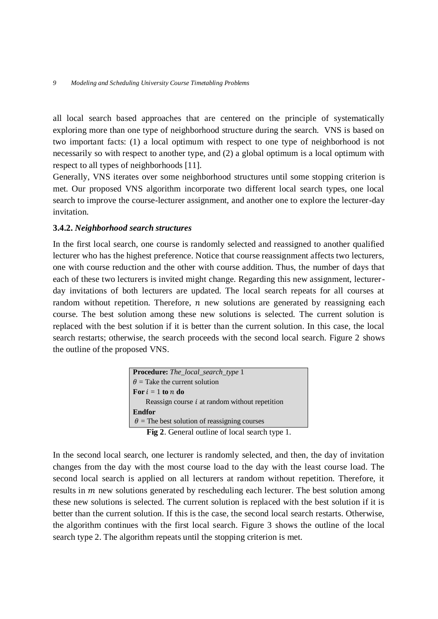all local search based approaches that are centered on the principle of systematically exploring more than one type of neighborhood structure during the search. VNS is based on two important facts: (1) a local optimum with respect to one type of neighborhood is not necessarily so with respect to another type, and (2) a global optimum is a local optimum with respect to all types of neighborhoods [11].

Generally, VNS iterates over some neighborhood structures until some stopping criterion is met. Our proposed VNS algorithm incorporate two different local search types, one local search to improve the course-lecturer assignment, and another one to explore the lecturer-day invitation.

#### **3.4.2.** *Neighborhood search structures*

In the first local search, one course is randomly selected and reassigned to another qualified lecturer who has the highest preference. Notice that course reassignment affects two lecturers, one with course reduction and the other with course addition. Thus, the number of days that each of these two lecturers is invited might change. Regarding this new assignment, lecturerday invitations of both lecturers are updated. The local search repeats for all courses at random without repetition. Therefore,  $n$  new solutions are generated by reassigning each course. The best solution among these new solutions is selected. The current solution is replaced with the best solution if it is better than the current solution. In this case, the local search restarts; otherwise, the search proceeds with the second local search. Figure 2 shows the outline of the proposed VNS.

| <b>Procedure:</b> The_local_search_type 1             |
|-------------------------------------------------------|
| $\theta$ = Take the current solution                  |
| For $i = 1$ to n do                                   |
| Reassign course $i$ at random without repetition      |
| Endfor                                                |
| $\theta$ = The best solution of reassigning courses   |
| <b>Fig 2.</b> General outline of local search type 1. |

In the second local search, one lecturer is randomly selected, and then, the day of invitation changes from the day with the most course load to the day with the least course load. The second local search is applied on all lecturers at random without repetition. Therefore, it results in  *new solutions generated by rescheduling each lecturer. The best solution among* these new solutions is selected. The current solution is replaced with the best solution if it is better than the current solution. If this is the case, the second local search restarts. Otherwise, the algorithm continues with the first local search. Figure 3 shows the outline of the local search type 2. The algorithm repeats until the stopping criterion is met.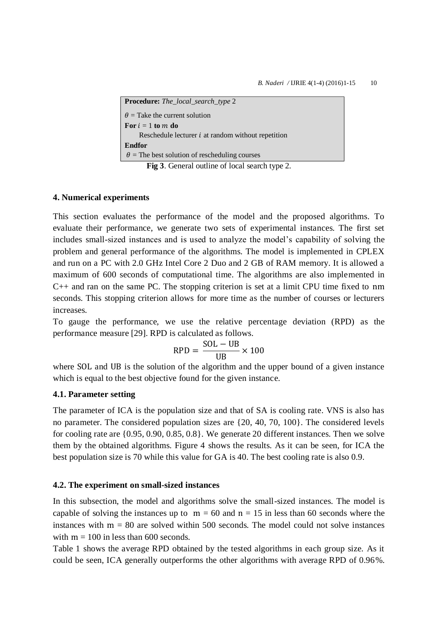| <b>Procedure:</b> The_local_search_type 2                                                                                                          |
|----------------------------------------------------------------------------------------------------------------------------------------------------|
| $\theta$ = Take the current solution                                                                                                               |
| For $i = 1$ to m do                                                                                                                                |
| Reschedule lecturer $i$ at random without repetition                                                                                               |
| <b>Endfor</b>                                                                                                                                      |
| $\theta$ = The best solution of rescheduling courses                                                                                               |
| $\Gamma_{1}^{1} = 2$ $\Gamma_{1}^{1} = 1$ $\Gamma_{2}^{1} = 1$ $\Gamma_{3}^{1} = 1$ $\Gamma_{4}^{1} = 1$ $\Gamma_{5}^{1} = 1$ $\Gamma_{6}^{1} = 2$ |

**Fig 3**. General outline of local search type 2.

### **4. Numerical experiments**

This section evaluates the performance of the model and the proposed algorithms. To evaluate their performance, we generate two sets of experimental instances. The first set includes small-sized instances and is used to analyze the model's capability of solving the problem and general performance of the algorithms. The model is implemented in CPLEX and run on a PC with 2.0 GHz Intel Core 2 Duo and 2 GB of RAM memory. It is allowed a maximum of 600 seconds of computational time. The algorithms are also implemented in  $C_{++}$  and ran on the same PC. The stopping criterion is set at a limit CPU time fixed to nm seconds. This stopping criterion allows for more time as the number of courses or lecturers increases.

To gauge the performance, we use the relative percentage deviation (RPD) as the performance measure [29]. RPD is calculated as follows.

$$
RPD = \frac{SOL - UB}{UB} \times 100
$$

where SOL and UB is the solution of the algorithm and the upper bound of a given instance which is equal to the best objective found for the given instance.

### **4.1. Parameter setting**

The parameter of ICA is the population size and that of SA is cooling rate. VNS is also has no parameter. The considered population sizes are {20, 40, 70, 100}. The considered levels for cooling rate are {0.95, 0.90, 0.85, 0.8}. We generate 20 different instances. Then we solve them by the obtained algorithms. Figure 4 shows the results. As it can be seen, for ICA the best population size is 70 while this value for GA is 40. The best cooling rate is also 0.9.

#### **4.2. The experiment on small-sized instances**

In this subsection, the model and algorithms solve the small-sized instances. The model is capable of solving the instances up to  $m = 60$  and  $n = 15$  in less than 60 seconds where the instances with  $m = 80$  are solved within 500 seconds. The model could not solve instances with  $m = 100$  in less than 600 seconds.

Table 1 shows the average RPD obtained by the tested algorithms in each group size. As it could be seen, ICA generally outperforms the other algorithms with average RPD of 0.96%.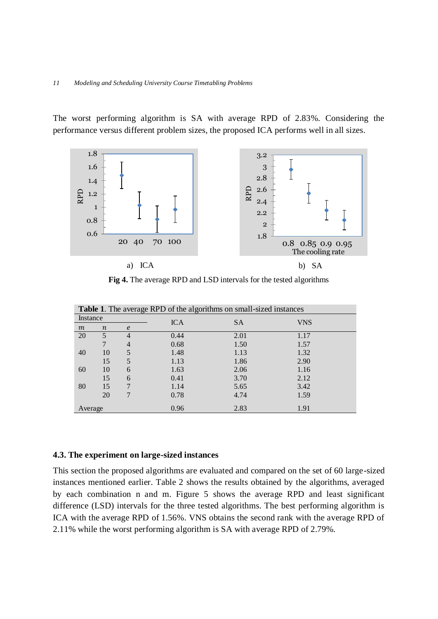The worst performing algorithm is SA with average RPD of 2.83%. Considering the performance versus different problem sizes, the proposed ICA performs well in all sizes.



**Fig 4.** The average RPD and LSD intervals for the tested algorithms

| <b>Table 1.</b> The average RPD of the algorithms on small-sized instances |                  |                |            |           |            |  |
|----------------------------------------------------------------------------|------------------|----------------|------------|-----------|------------|--|
| Instance                                                                   |                  |                | <b>ICA</b> | <b>SA</b> | <b>VNS</b> |  |
| m                                                                          | $\boldsymbol{n}$ | $\epsilon$     |            |           |            |  |
| 20                                                                         | 5                | 4              | 0.44       | 2.01      | 1.17       |  |
|                                                                            |                  | $\overline{4}$ | 0.68       | 1.50      | 1.57       |  |
| 40                                                                         | 10               | 5              | 1.48       | 1.13      | 1.32       |  |
|                                                                            | 15               | 5              | 1.13       | 1.86      | 2.90       |  |
| 60                                                                         | 10               | 6              | 1.63       | 2.06      | 1.16       |  |
|                                                                            | 15               | 6              | 0.41       | 3.70      | 2.12       |  |
| 80                                                                         | 15               |                | 1.14       | 5.65      | 3.42       |  |
|                                                                            | 20               | 7              | 0.78       | 4.74      | 1.59       |  |
| Average                                                                    |                  |                | 0.96       | 2.83      | 1.91       |  |

### **4.3. The experiment on large-sized instances**

This section the proposed algorithms are evaluated and compared on the set of 60 large-sized instances mentioned earlier. Table 2 shows the results obtained by the algorithms, averaged by each combination n and m. Figure 5 shows the average RPD and least significant difference (LSD) intervals for the three tested algorithms. The best performing algorithm is ICA with the average RPD of 1.56%. VNS obtains the second rank with the average RPD of 2.11% while the worst performing algorithm is SA with average RPD of 2.79%.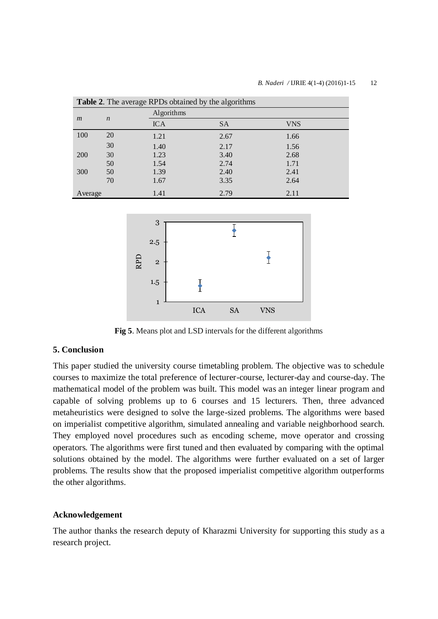#### *B. Naderi* / **IJRIE** 4(1-4) (2016)1-15 12

| <b>Table 2.</b> The average RPDs obtained by the algorithms |                  |            |           |            |  |  |
|-------------------------------------------------------------|------------------|------------|-----------|------------|--|--|
| $\mathfrak{m}$                                              | $\boldsymbol{n}$ | Algorithms |           |            |  |  |
|                                                             |                  | <b>ICA</b> | <b>SA</b> | <b>VNS</b> |  |  |
| 100                                                         | 20               | 1.21       | 2.67      | 1.66       |  |  |
|                                                             | 30               | 1.40       | 2.17      | 1.56       |  |  |
| <b>200</b>                                                  | 30               | 1.23       | 3.40      | 2.68       |  |  |
|                                                             | 50               | 1.54       | 2.74      | 1.71       |  |  |
| 300                                                         | 50               | 1.39       | 2.40      | 2.41       |  |  |
|                                                             | 70               | 1.67       | 3.35      | 2.64       |  |  |
| Average                                                     |                  | 1.41       | 2.79      | 2.11       |  |  |



**Fig 5**. Means plot and LSD intervals for the different algorithms

# **5. Conclusion**

This paper studied the university course timetabling problem. The objective was to schedule courses to maximize the total preference of lecturer-course, lecturer-day and course-day. The mathematical model of the problem was built. This model was an integer linear program and capable of solving problems up to 6 courses and 15 lecturers. Then, three advanced metaheuristics were designed to solve the large-sized problems. The algorithms were based on imperialist competitive algorithm, simulated annealing and variable neighborhood search. They employed novel procedures such as encoding scheme, move operator and crossing operators. The algorithms were first tuned and then evaluated by comparing with the optimal solutions obtained by the model. The algorithms were further evaluated on a set of larger problems. The results show that the proposed imperialist competitive algorithm outperforms the other algorithms.

#### **Acknowledgement**

The author thanks the research deputy of Kharazmi University for supporting this study as a research project.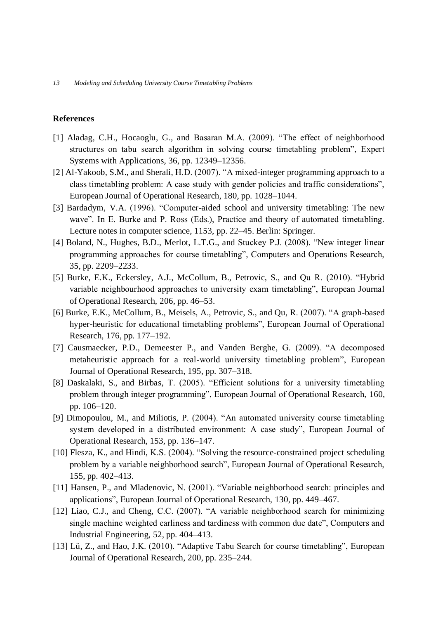### **References**

- [1] Aladag, C.H., Hocaoglu, G., and Basaran M.A. (2009). "The effect of neighborhood structures on tabu search algorithm in solving course timetabling problem", Expert Systems with Applications, 36, pp. 12349–12356.
- [2] Al-Yakoob, S.M., and Sherali, H.D. (2007). "A mixed-integer programming approach to a class timetabling problem: A case study with gender policies and traffic considerations", European Journal of Operational Research, 180, pp. 1028–1044.
- [3] Bardadym, V.A. (1996). "Computer-aided school and university timetabling: The new wave". In E. Burke and P. Ross (Eds.), Practice and theory of automated timetabling. Lecture notes in computer science, 1153, pp. 22–45. Berlin: Springer.
- [4] Boland, N., Hughes, B.D., Merlot, L.T.G., and Stuckey P.J. (2008). "New integer linear programming approaches for course timetabling", Computers and Operations Research, 35, pp. 2209–2233.
- [5] Burke, E.K., Eckersley, A.J., McCollum, B., Petrovic, S., and Qu R. (2010). "Hybrid variable neighbourhood approaches to university exam timetabling", European Journal of Operational Research, 206, pp. 46–53.
- [6] Burke, E.K., McCollum, B., Meisels, A., Petrovic, S., and Qu, R. (2007). "A graph-based hyper-heuristic for educational timetabling problems", European Journal of Operational Research, 176, pp. 177–192.
- [7] Causmaecker, P.D., Demeester P., and Vanden Berghe, G. (2009). "A decomposed metaheuristic approach for a real-world university timetabling problem", European Journal of Operational Research, 195, pp. 307–318.
- [8] Daskalaki, S., and Birbas, T. (2005). "Efficient solutions for a university timetabling problem through integer programming", European Journal of Operational Research, 160, pp. 106–120.
- [9] Dimopoulou, M., and Miliotis, P. (2004). "An automated university course timetabling system developed in a distributed environment: A case study", European Journal of Operational Research, 153, pp. 136–147.
- [10] Flesza, K., and Hindi, K.S. (2004). "Solving the resource-constrained project scheduling problem by a variable neighborhood search", European Journal of Operational Research, 155, pp. 402–413.
- [11] Hansen, P., and Mladenovic, N. (2001). "Variable neighborhood search: principles and applications", European Journal of Operational Research, 130, pp. 449–467.
- [12] Liao, C.J., and Cheng, C.C. (2007). "A variable neighborhood search for minimizing single machine weighted earliness and tardiness with common due date", Computers and Industrial Engineering, 52, pp. 404–413.
- [13] Lü, Z., and Hao, J.K. (2010). "Adaptive Tabu Search for course timetabling", European Journal of Operational Research, 200, pp. 235–244.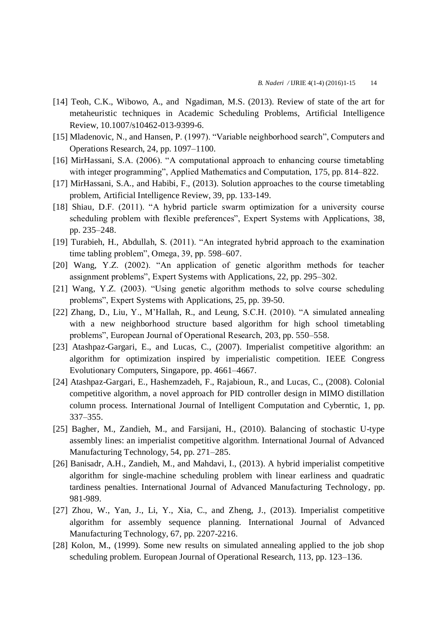- [14] [Teoh,](http://link.springer.com/search?facet-author=%22Chong+Keat+Teoh%22) C.K., [Wibowo,](http://link.springer.com/search?facet-author=%22Antoni+Wibowo%22) A., and [Ngadiman,](http://link.springer.com/search?facet-author=%22Mohd+Salihin+Ngadiman%22) M.S. (2013). Review of state of the art for metaheuristic techniques in Academic Scheduling Problems, [Artificial Intelligence](http://link.springer.com/journal/10462)  [Review,](http://link.springer.com/journal/10462) 10.1007/s10462-013-9399-6.
- [15] Mladenovic, N., and Hansen, P. (1997). "Variable neighborhood search", Computers and Operations Research, 24, pp. 1097–1100.
- [16] MirHassani, S.A. (2006). "A computational approach to enhancing course timetabling with integer programming", Applied Mathematics and Computation, 175, pp. 814–822.
- [17] [MirHassani,](http://link.springer.com/search?facet-author=%22S.+A.+MirHassani%22) S.A., and [Habibi,](http://link.springer.com/search?facet-author=%22F.+Habibi%22) F., (2013). Solution approaches to the course timetabling problem, [Artificial Intelligence Review,](http://link.springer.com/journal/10462) 39, pp. 133-149.
- [18] Shiau, D.F. (2011). "A hybrid particle swarm optimization for a university course scheduling problem with flexible preferences", Expert Systems with Applications, 38, pp. 235–248.
- [19] Turabieh, H., Abdullah, S. (2011). "An integrated hybrid approach to the examination time tabling problem", Omega, 39, pp. 598–607.
- [20] Wang, Y.Z. (2002). "An application of genetic algorithm methods for teacher assignment problems", Expert Systems with Applications, 22, pp. 295–302.
- [21] Wang, Y.Z. (2003). "Using genetic algorithm methods to solve course scheduling problems", Expert Systems with Applications, 25, pp. 39-50.
- [22] Zhang, D., Liu, Y., M'Hallah, R., and Leung, S.C.H. (2010). "A simulated annealing with a new neighborhood structure based algorithm for high school timetabling problems", European Journal of Operational Research, 203, pp. 550–558.
- [23] Atashpaz-Gargari, E., and Lucas, C., (2007). Imperialist competitive algorithm: an algorithm for optimization inspired by imperialistic competition. IEEE Congress Evolutionary Computers, Singapore, pp. 4661–4667.
- [24] Atashpaz-Gargari, E., Hashemzadeh, F., Rajabioun, R., and Lucas, C., (2008). Colonial competitive algorithm, a novel approach for PID controller design in MIMO distillation column process. International Journal of Intelligent Computation and Cyberntic, 1, pp. 337–355.
- [25] Bagher, M., Zandieh, M., and Farsijani, H., (2010). Balancing of stochastic U-type assembly lines: an imperialist competitive algorithm. International Journal of Advanced Manufacturing Technology, 54, pp. 271–285.
- [26] Banisadr, A.H., Zandieh, M., and Mahdavi, I., (2013). A hybrid imperialist competitive algorithm for single-machine scheduling problem with linear earliness and quadratic tardiness penalties. [International Journal of Advanced Manufacturing Technology,](http://link.springer.com/journal/170) pp. 981-989.
- [27] Zhou, W., Yan, J., Li, Y., Xia, C., and Zheng, J., (2013). Imperialist competitive algorithm for assembly sequence planning. International Journal of Advanced Manufacturing Technology, 67, pp. 2207-2216.
- [28] Kolon, M., (1999). Some new results on simulated annealing applied to the job shop scheduling problem. European Journal of Operational Research, 113, pp. 123–136.